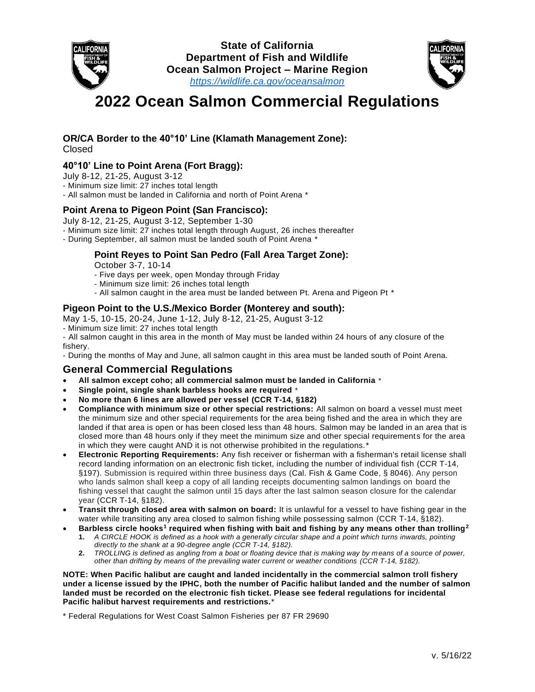



# **2022 Ocean Salmon Commercial Regulations**

#### **OR/CA Border to the 40°10' Line (Klamath Management Zone):** Closed

## **40°10' Line to Point Arena (Fort Bragg):**

July 8-12, 21-25, August 3-12

- Minimum size limit: 27 inches total length

- All salmon must be landed in California and north of Point Arena \*

### **Point Arena to Pigeon Point (San Francisco):**

July 8-12, 21-25, August 3-12, September 1-30

- Minimum size limit: 27 inches total length through August, 26 inches thereafter

- During September, all salmon must be landed south of Point Arena \*

## **Point Reyes to Point San Pedro (Fall Area Target Zone):**

October 3-7, 10-14

- Five days per week, open Monday through Friday

- Minimum size limit: 26 inches total length
- All salmon caught in the area must be landed between Pt. Arena and Pigeon Pt \*

## **Pigeon Point to the U.S./Mexico Border (Monterey and south):**

May 1-5, 10-15, 20-24, June 1-12, July 8-12, 21-25, August 3-12

- Minimum size limit: 27 inches total length

- All salmon caught in this area in the month of May must be landed within 24 hours of any closure of the fishery.

- During the months of May and June, all salmon caught in this area must be landed south of Point Arena.

## **General Commercial Regulations**

- **All salmon except coho; all commercial salmon must be landed in California** \*
- **Single point, single shank barbless hooks are required** \*
- **No more than 6 lines are allowed per vessel (CCR T-14, §182)**
- **Compliance with minimum size or other special restrictions:** All salmon on board a vessel must meet the minimum size and other special requirements for the area being fished and the area in which they are landed if that area is open or has been closed less than 48 hours. Salmon may be landed in an area that is closed more than 48 hours only if they meet the minimum size and other special requirements for the area in which they were caught AND it is not otherwise prohibited in the regulations.\*
- **Electronic Reporting Requirements:** Any fish receiver or fisherman with a fisherman's retail license shall record landing information on an electronic fish ticket, including the number of individual fish (CCR T-14, §197). Submission is required within three business days (Cal. Fish & Game Code, § 8046). Any person who lands salmon shall keep a copy of all landing receipts documenting salmon landings on board the fishing vessel that caught the salmon until 15 days after the last salmon season closure for the calendar year (CCR T-14, §182).
- **Transit through closed area with salmon on board:** It is unlawful for a vessel to have fishing gear in the water while transiting any area closed to salmon fishing while possessing salmon (CCR T-14, §182).
- **Barbless circle hooks<sup>1</sup> required when fishing with bait and fishing by any means other than trolling<sup>2</sup> 1.** *A CIRCLE HOOK is defined as a hook with a generally circular shape and a point which turns inwards, pointing* 
	- *directly to the shank at a 90-degree angle (CCR T-14, §182).* **2.** *TROLLING is defined as angling from a boat or floating device that is making way by means of a source of power,*
	- *other than drifting by means of the prevailing water current or weather conditions (CCR T-14, §182).*

**NOTE: When Pacific halibut are caught and landed incidentally in the commercial salmon troll fishery under a license issued by the IPHC, both the number of Pacific halibut landed and the number of salmon landed must be recorded on the electronic fish ticket. Please see federal regulations for incidental Pacific halibut harvest requirements and restrictions.**\*

\* Federal Regulations for West Coast Salmon Fisheries per 87 FR 29690